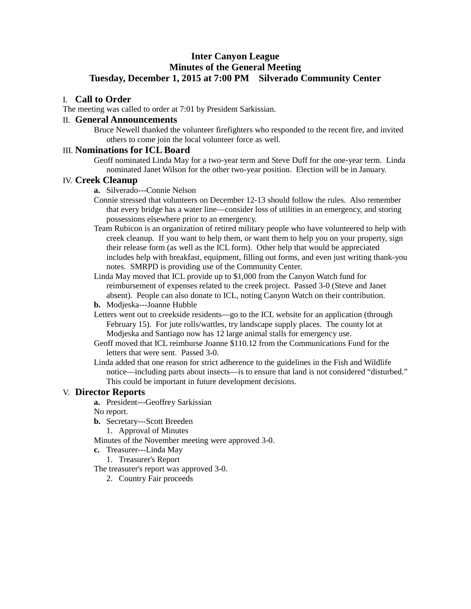# **Inter Canyon League Minutes of the General Meeting Tuesday, December 1, 2015 at 7:00 PM Silverado Community Center**

### I. **Call to Order**

The meeting was called to order at 7:01 by President Sarkissian.

#### II. **General Announcements**

Bruce Newell thanked the volunteer firefighters who responded to the recent fire, and invited others to come join the local volunteer force as well.

## III. **Nominations for ICL Board**

Geoff nominated Linda May for a two-year term and Steve Duff for the one-year term. Linda nominated Janet Wilson for the other two-year position. Election will be in January.

### IV. **Creek Cleanup**

- **a.** Silverado---Connie Nelson
- Connie stressed that volunteers on December 12-13 should follow the rules. Also remember that every bridge has a water line—consider loss of utilities in an emergency, and storing possessions elsewhere prior to an emergency.
- Team Rubicon is an organization of retired military people who have volunteered to help with creek cleanup. If you want to help them, or want them to help you on your property, sign their release form (as well as the ICL form). Other help that would be appreciated includes help with breakfast, equipment, filling out forms, and even just writing thank-you notes. SMRPD is providing use of the Community Center.
- Linda May moved that ICL provide up to \$1,000 from the Canyon Watch fund for reimbursement of expenses related to the creek project. Passed 3-0 (Steve and Janet absent). People can also donate to ICL, noting Canyon Watch on their contribution.
- **b.** Modjeska---Joanne Hubble
- Letters went out to creekside residents—go to the ICL website for an application (through February 15). For jute rolls/wattles, try landscape supply places. The county lot at Modjeska and Santiago now has 12 large animal stalls for emergency use.
- Geoff moved that ICL reimburse Joanne \$110.12 from the Communications Fund for the letters that were sent. Passed 3-0.
- Linda added that one reason for strict adherence to the guidelines in the Fish and Wildlife notice—including parts about insects—is to ensure that land is not considered "disturbed." This could be important in future development decisions.

#### V. **Director Reports**

**a.** President---Geoffrey Sarkissian

No report.

- **b.** Secretary---Scott Breeden
	- 1. Approval of Minutes

Minutes of the November meeting were approved 3-0.

- **c.** Treasurer---Linda May
	- 1. Treasurer's Report
- The treasurer's report was approved 3-0.
	- 2. Country Fair proceeds